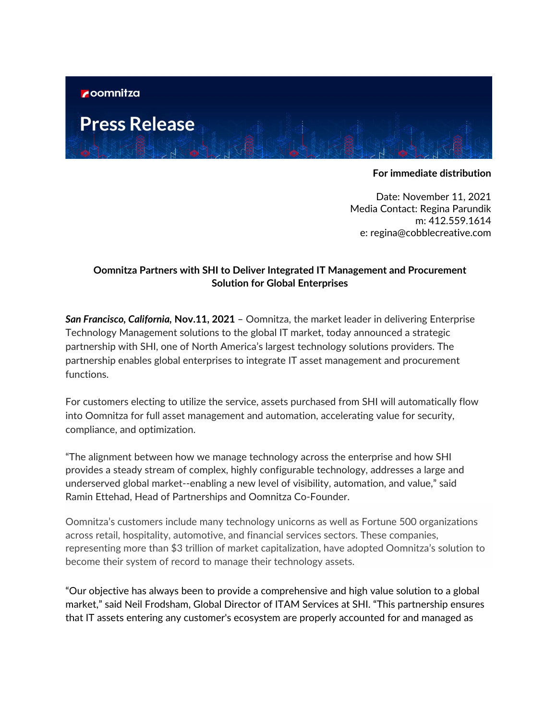

**Press Release** 

## **For immediate distribution**

Date: November 11, 2021 Media Contact: Regina Parundik m: 412.559.1614 e: regina@cobblecreative.com

## **Oomnitza Partners with SHI to Deliver Integrated IT Management and Procurement Solution for Global Enterprises**

*San Francisco, California,* **Nov.11, 2021** – Oomnitza, the market leader in delivering Enterprise Technology Management solutions to the global IT market, today announced a strategic partnership with SHI, one of North America's largest technology solutions providers. The partnership enables global enterprises to integrate IT asset management and procurement functions.

For customers electing to utilize the service, assets purchased from SHI will automatically flow into Oomnitza for full asset management and automation, accelerating value for security, compliance, and optimization.

"The alignment between how we manage technology across the enterprise and how SHI provides a steady stream of complex, highly configurable technology, addresses a large and underserved global market--enabling a new level of visibility, automation, and value," said Ramin Ettehad, Head of Partnerships and Oomnitza Co-Founder.

Oomnitza's customers include many technology unicorns as well as Fortune 500 organizations across retail, hospitality, automotive, and financial services sectors. These companies, representing more than \$3 trillion of market capitalization, have adopted Oomnitza's solution to become their system of record to manage their technology assets.

"Our objective has always been to provide a comprehensive and high value solution to a global market," said Neil Frodsham, Global Director of ITAM Services at SHI. "This partnership ensures that IT assets entering any customer's ecosystem are properly accounted for and managed as